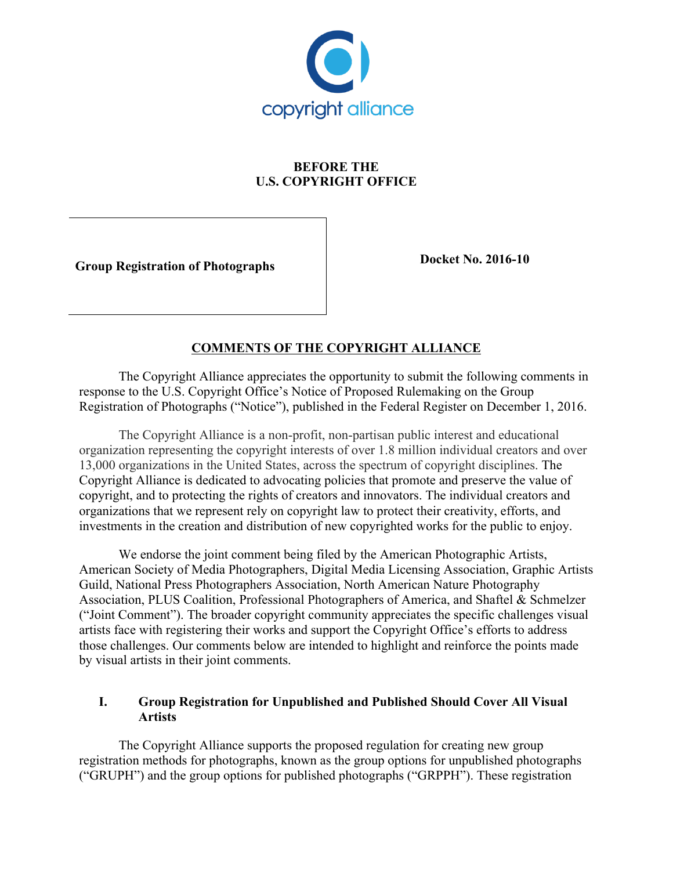

# **BEFORE THE U.S. COPYRIGHT OFFICE**

**Group Registration of Photographs b Docket No. 2016-10** 

### **COMMENTS OF THE COPYRIGHT ALLIANCE**

The Copyright Alliance appreciates the opportunity to submit the following comments in response to the U.S. Copyright Office's Notice of Proposed Rulemaking on the Group Registration of Photographs ("Notice"), published in the Federal Register on December 1, 2016.

The Copyright Alliance is a non-profit, non-partisan public interest and educational organization representing the copyright interests of over 1.8 million individual creators and over 13,000 organizations in the United States, across the spectrum of copyright disciplines. The Copyright Alliance is dedicated to advocating policies that promote and preserve the value of copyright, and to protecting the rights of creators and innovators. The individual creators and organizations that we represent rely on copyright law to protect their creativity, efforts, and investments in the creation and distribution of new copyrighted works for the public to enjoy.

We endorse the joint comment being filed by the American Photographic Artists, American Society of Media Photographers, Digital Media Licensing Association, Graphic Artists Guild, National Press Photographers Association, North American Nature Photography Association, PLUS Coalition, Professional Photographers of America, and Shaftel & Schmelzer ("Joint Comment"). The broader copyright community appreciates the specific challenges visual artists face with registering their works and support the Copyright Office's efforts to address those challenges. Our comments below are intended to highlight and reinforce the points made by visual artists in their joint comments.

#### **I. Group Registration for Unpublished and Published Should Cover All Visual Artists**

The Copyright Alliance supports the proposed regulation for creating new group registration methods for photographs, known as the group options for unpublished photographs ("GRUPH") and the group options for published photographs ("GRPPH"). These registration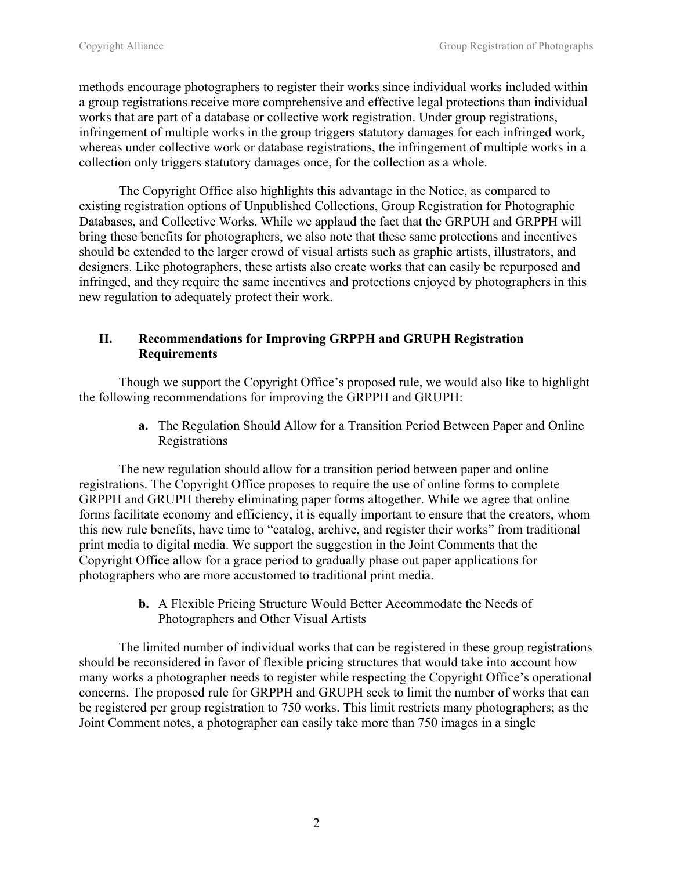methods encourage photographers to register their works since individual works included within a group registrations receive more comprehensive and effective legal protections than individual works that are part of a database or collective work registration. Under group registrations, infringement of multiple works in the group triggers statutory damages for each infringed work, whereas under collective work or database registrations, the infringement of multiple works in a collection only triggers statutory damages once, for the collection as a whole.

The Copyright Office also highlights this advantage in the Notice, as compared to existing registration options of Unpublished Collections, Group Registration for Photographic Databases, and Collective Works. While we applaud the fact that the GRPUH and GRPPH will bring these benefits for photographers, we also note that these same protections and incentives should be extended to the larger crowd of visual artists such as graphic artists, illustrators, and designers. Like photographers, these artists also create works that can easily be repurposed and infringed, and they require the same incentives and protections enjoyed by photographers in this new regulation to adequately protect their work.

### **II. Recommendations for Improving GRPPH and GRUPH Registration Requirements**

Though we support the Copyright Office's proposed rule, we would also like to highlight the following recommendations for improving the GRPPH and GRUPH:

> **a.** The Regulation Should Allow for a Transition Period Between Paper and Online Registrations

The new regulation should allow for a transition period between paper and online registrations. The Copyright Office proposes to require the use of online forms to complete GRPPH and GRUPH thereby eliminating paper forms altogether. While we agree that online forms facilitate economy and efficiency, it is equally important to ensure that the creators, whom this new rule benefits, have time to "catalog, archive, and register their works" from traditional print media to digital media. We support the suggestion in the Joint Comments that the Copyright Office allow for a grace period to gradually phase out paper applications for photographers who are more accustomed to traditional print media.

> **b.** A Flexible Pricing Structure Would Better Accommodate the Needs of Photographers and Other Visual Artists

The limited number of individual works that can be registered in these group registrations should be reconsidered in favor of flexible pricing structures that would take into account how many works a photographer needs to register while respecting the Copyright Office's operational concerns. The proposed rule for GRPPH and GRUPH seek to limit the number of works that can be registered per group registration to 750 works. This limit restricts many photographers; as the Joint Comment notes, a photographer can easily take more than 750 images in a single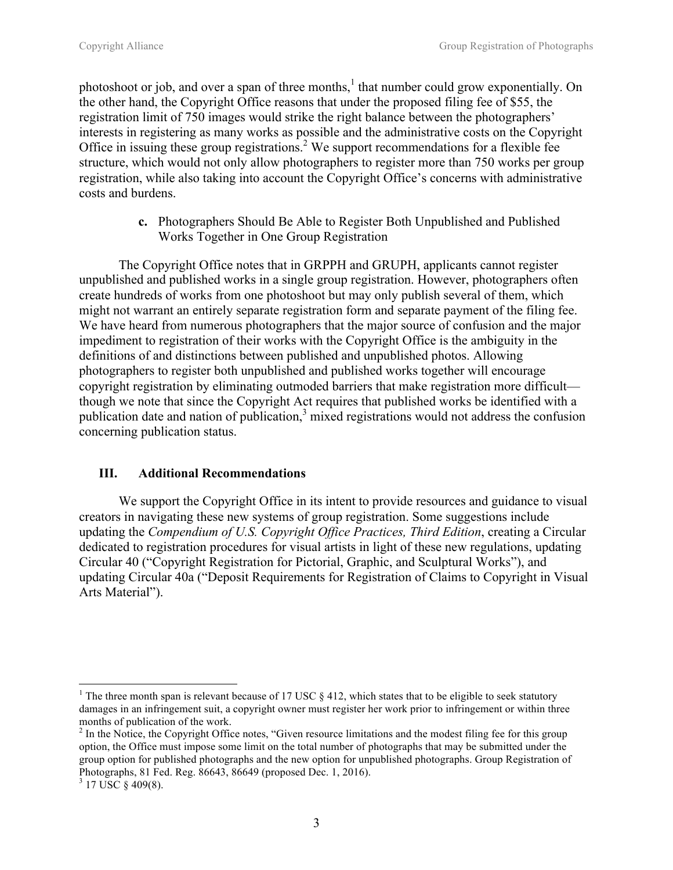photoshoot or job, and over a span of three months,<sup>1</sup> that number could grow exponentially. On the other hand, the Copyright Office reasons that under the proposed filing fee of \$55, the registration limit of 750 images would strike the right balance between the photographers' interests in registering as many works as possible and the administrative costs on the Copyright Office in issuing these group registrations.<sup>2</sup> We support recommendations for a flexible fee structure, which would not only allow photographers to register more than 750 works per group registration, while also taking into account the Copyright Office's concerns with administrative costs and burdens.

> **c.** Photographers Should Be Able to Register Both Unpublished and Published Works Together in One Group Registration

The Copyright Office notes that in GRPPH and GRUPH, applicants cannot register unpublished and published works in a single group registration. However, photographers often create hundreds of works from one photoshoot but may only publish several of them, which might not warrant an entirely separate registration form and separate payment of the filing fee. We have heard from numerous photographers that the major source of confusion and the major impediment to registration of their works with the Copyright Office is the ambiguity in the definitions of and distinctions between published and unpublished photos. Allowing photographers to register both unpublished and published works together will encourage copyright registration by eliminating outmoded barriers that make registration more difficult though we note that since the Copyright Act requires that published works be identified with a publication date and nation of publication, $3$  mixed registrations would not address the confusion concerning publication status.

#### **III. Additional Recommendations**

We support the Copyright Office in its intent to provide resources and guidance to visual creators in navigating these new systems of group registration. Some suggestions include updating the *Compendium of U.S. Copyright Office Practices, Third Edition*, creating a Circular dedicated to registration procedures for visual artists in light of these new regulations, updating Circular 40 ("Copyright Registration for Pictorial, Graphic, and Sculptural Works"), and updating Circular 40a ("Deposit Requirements for Registration of Claims to Copyright in Visual Arts Material").

 

<sup>&</sup>lt;sup>1</sup> The three month span is relevant because of 17 USC  $\S$  412, which states that to be eligible to seek statutory damages in an infringement suit, a copyright owner must register her work prior to infringement or within three months of publication of the work.<br><sup>2</sup> In the Notice, the Copyright Office notes, "Given resource limitations and the modest filing fee for this group

option, the Office must impose some limit on the total number of photographs that may be submitted under the group option for published photographs and the new option for unpublished photographs. Group Registration of Photographs, 81 Fed. Reg. 86643, 86649 (proposed Dec. 1, 2016).

 $3$  17 USC  $\S$  409(8).